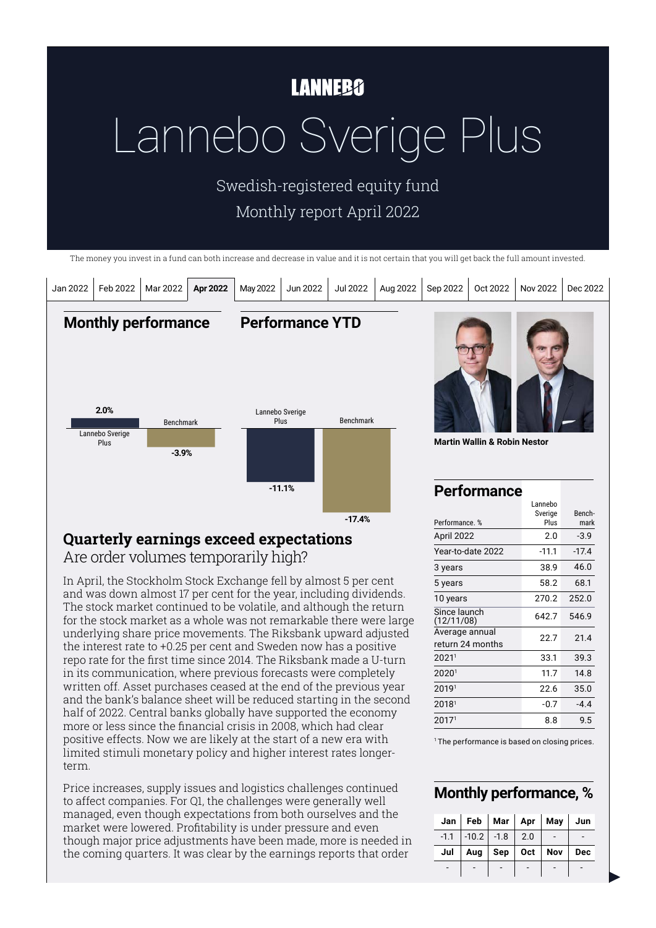# **LANNEBO**

# Lannebo Sverige Plus

Swedish-registered equity fund Monthly report April 2022

The money you invest in a fund can both increase and decrease in value and it is not certain that you will get back the full amount invested.



### **Quarterly earnings exceed expectations**  Are order volumes temporarily high?

In April, the Stockholm Stock Exchange fell by almost 5 per cent and was down almost 17 per cent for the year, including dividends. The stock market continued to be volatile, and although the return for the stock market as a whole was not remarkable there were large underlying share price movements. The Riksbank upward adjusted the interest rate to +0.25 per cent and Sweden now has a positive repo rate for the first time since 2014. The Riksbank made a U-turn in its communication, where previous forecasts were completely written off. Asset purchases ceased at the end of the previous year and the bank's balance sheet will be reduced starting in the second half of 2022. Central banks globally have supported the economy more or less since the financial crisis in 2008, which had clear positive effects. Now we are likely at the start of a new era with limited stimuli monetary policy and higher interest rates longerterm.

Price increases, supply issues and logistics challenges continued to affect companies. For Q1, the challenges were generally well managed, even though expectations from both ourselves and the market were lowered. Profitability is under pressure and even though major price adjustments have been made, more is needed in the coming quarters. It was clear by the earnings reports that order

20171 8.8 9.5 <sup>1</sup> The performance is based on closing prices.

 33.1 39.3 11.7 14.8 22.6 35.0  $2018<sup>1</sup>$  -0.7 -4.4

-11.1 38.9 58.2 270.2 642.7 22.7

-17.4 46.0 68.1 252.0 546.9 21.4

Year-to-date 2022

3 years 5 years 10 years Since launch (12/11/08) Average annual return 24 months

#### **Monthly performance, %**

|     | Jan   Feb   Mar   Apr   May   Jun |                                         |     |
|-----|-----------------------------------|-----------------------------------------|-----|
|     | $-1.1$ $-10.2$ $-1.8$ 2.0         |                                         |     |
| Jul |                                   | Aug $\vert$ Sep $\vert$ Oct $\vert$ Nov | Dec |
|     |                                   |                                         |     |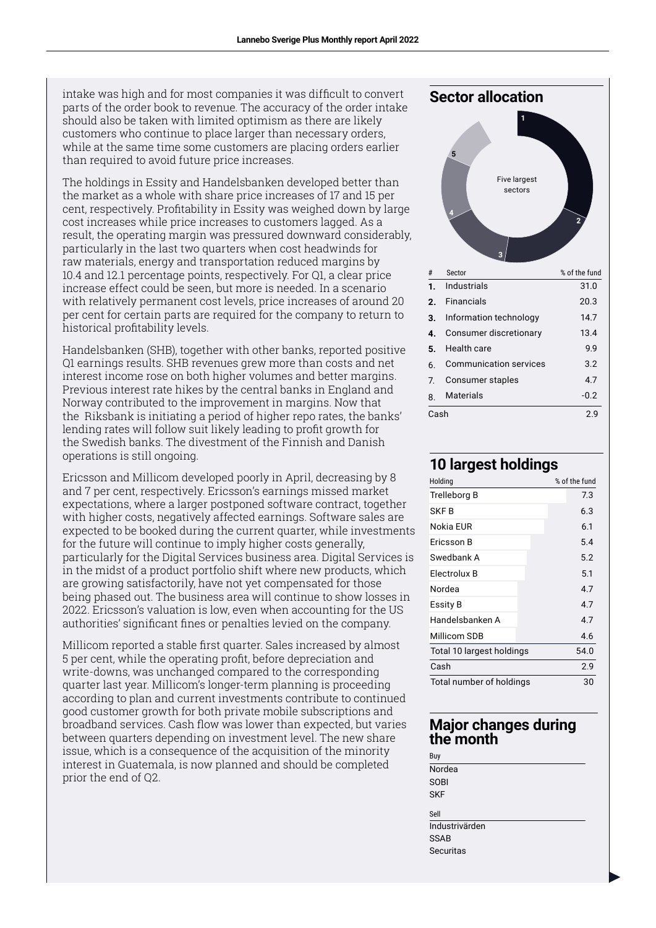intake was high and for most companies it was difficult to convert parts of the order book to revenue. The accuracy of the order intake should also be taken with limited optimism as there are likely customers who continue to place larger than necessary orders, while at the same time some customers are placing orders earlier than required to avoid future price increases.

The holdings in Essity and Handelsbanken developed better than the market as a whole with share price increases of 17 and 15 per cent, respectively. Profitability in Essity was weighed down by large cost increases while price increases to customers lagged. As a result, the operating margin was pressured downward considerably, particularly in the last two quarters when cost headwinds for raw materials, energy and transportation reduced margins by 10.4 and 12.1 percentage points, respectively. For Q1, a clear price increase effect could be seen, but more is needed. In a scenario with relatively permanent cost levels, price increases of around 20 per cent for certain parts are required for the company to return to historical profitability levels.

Handelsbanken (SHB), together with other banks, reported positive Q1 earnings results. SHB revenues grew more than costs and net interest income rose on both higher volumes and better margins. Previous interest rate hikes by the central banks in England and Norway contributed to the improvement in margins. Now that the Riksbank is initiating a period of higher repo rates, the banks' lending rates will follow suit likely leading to profit growth for the Swedish banks. The divestment of the Finnish and Danish operations is still ongoing.

Ericsson and Millicom developed poorly in April, decreasing by 8 and 7 per cent, respectively. Ericsson's earnings missed market expectations, where a larger postponed software contract, together with higher costs, negatively affected earnings. Software sales are expected to be booked during the current quarter, while investments for the future will continue to imply higher costs generally, particularly for the Digital Services business area. Digital Services is in the midst of a product portfolio shift where new products, which are growing satisfactorily, have not yet compensated for those being phased out. The business area will continue to show losses in 2022. Ericsson's valuation is low, even when accounting for the US authorities' significant fines or penalties levied on the company.

Millicom reported a stable first quarter. Sales increased by almost 5 per cent, while the operating profit, before depreciation and write-downs, was unchanged compared to the corresponding quarter last year. Millicom's longer-term planning is proceeding according to plan and current investments contribute to continued good customer growth for both private mobile subscriptions and broadband services. Cash flow was lower than expected, but varies between quarters depending on investment level. The new share issue, which is a consequence of the acquisition of the minority interest in Guatemala, is now planned and should be completed prior the end of Q2.



2

#### **10 largest holdings**

| Holding                   |  | % of the fund |
|---------------------------|--|---------------|
| Trelleborg B              |  | 7.3           |
| SKF B                     |  | 6.3           |
| Nokia FUR                 |  | 6.1           |
| Ericsson B                |  | 5.4           |
| Swedbank A                |  | 5.2           |
| Electrolux B              |  | 5.1           |
| Nordea                    |  | 4.7           |
| Essity B                  |  | 4.7           |
| Handelsbanken A           |  | 4.7           |
| Millicom SDB              |  | 4.6           |
| Total 10 largest holdings |  | 54.0          |
| Cash                      |  | 2.9           |
| Total number of holdings  |  | 30            |

#### **Major changes during the month**

Buy Nordea **SOBI SKF** Sell **Industrivärden** SSAB Securitas